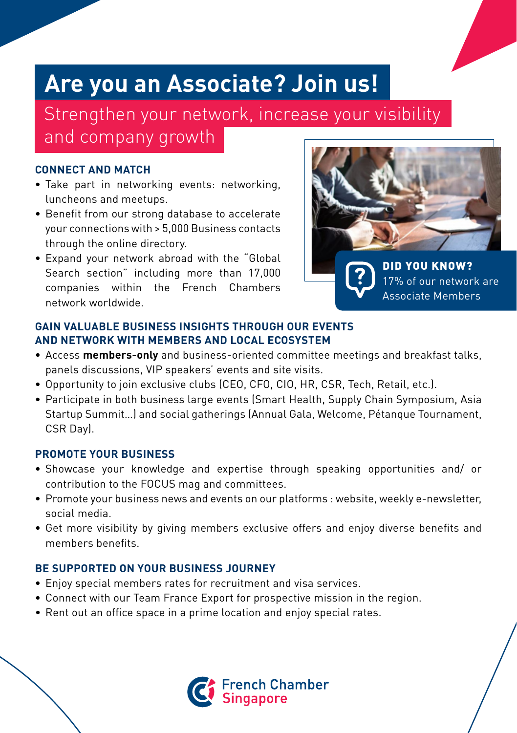## **Are you an Associate? Join us!**

Strengthen your network, increase your visibility and company growth

#### **CONNECT AND MATCH**

- Take part in networking events: networking, luncheons and meetups.
- Benefit from our strong database to accelerate your connections with > 5,000 Business contacts through the online directory.
- Expand your network abroad with the "Global Search section" including more than 17,000 companies within the French Chambers network worldwide.



17% of our network are Associate Members

#### **GAIN VALUABLE BUSINESS INSIGHTS THROUGH OUR EVENTS AND NETWORK WITH MEMBERS AND LOCAL ECOSYSTEM**

- Access **members-only** and business-oriented committee meetings and breakfast talks, panels discussions, VIP speakers' events and site visits.
- Opportunity to join exclusive clubs (CEO, CFO, CIO, HR, CSR, Tech, Retail, etc.).
- Participate in both business large events (Smart Health, Supply Chain Symposium, Asia Startup Summit…) and social gatherings (Annual Gala, Welcome, Pétanque Tournament, CSR Day).

#### **PROMOTE YOUR BUSINESS**

- Showcase your knowledge and expertise through speaking opportunities and/ or contribution to the FOCUS mag and committees.
- Promote your business news and events on our platforms : website, weekly e-newsletter, social media.
- Get more visibility by giving members exclusive offers and enjoy diverse benefits and members benefits.

### **BE SUPPORTED ON YOUR BUSINESS JOURNEY**

- Enjoy special members rates for recruitment and visa services.
- Connect with our Team France Export for prospective mission in the region.
- Rent out an office space in a prime location and enjoy special rates.